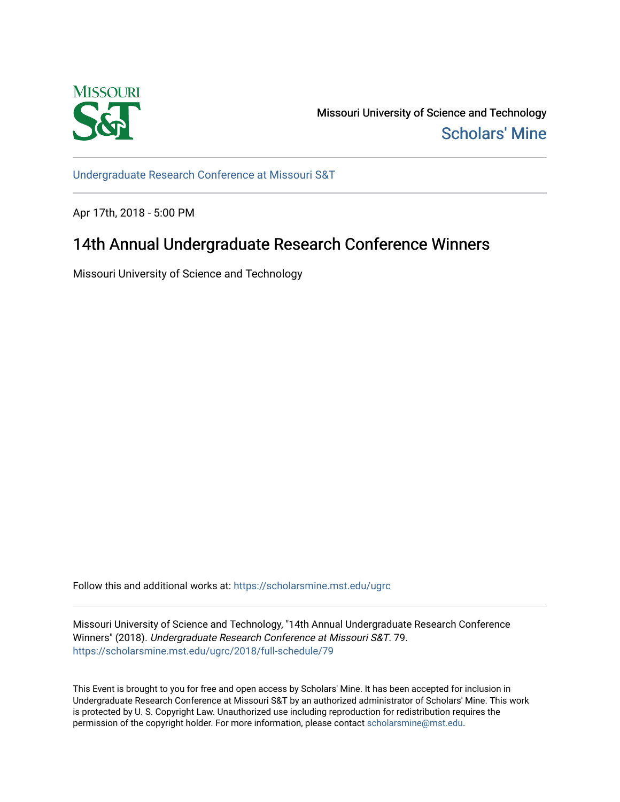

Missouri University of Science and Technology [Scholars' Mine](https://scholarsmine.mst.edu/) 

[Undergraduate Research Conference at Missouri S&T](https://scholarsmine.mst.edu/ugrc)

Apr 17th, 2018 - 5:00 PM

## 14th Annual Undergraduate Research Conference Winners

Missouri University of Science and Technology

Follow this and additional works at: [https://scholarsmine.mst.edu/ugrc](https://scholarsmine.mst.edu/ugrc?utm_source=scholarsmine.mst.edu%2Fugrc%2F2018%2Ffull-schedule%2F79&utm_medium=PDF&utm_campaign=PDFCoverPages) 

Missouri University of Science and Technology, "14th Annual Undergraduate Research Conference Winners" (2018). Undergraduate Research Conference at Missouri S&T. 79. [https://scholarsmine.mst.edu/ugrc/2018/full-schedule/79](https://scholarsmine.mst.edu/ugrc/2018/full-schedule/79?utm_source=scholarsmine.mst.edu%2Fugrc%2F2018%2Ffull-schedule%2F79&utm_medium=PDF&utm_campaign=PDFCoverPages) 

This Event is brought to you for free and open access by Scholars' Mine. It has been accepted for inclusion in Undergraduate Research Conference at Missouri S&T by an authorized administrator of Scholars' Mine. This work is protected by U. S. Copyright Law. Unauthorized use including reproduction for redistribution requires the permission of the copyright holder. For more information, please contact [scholarsmine@mst.edu](mailto:scholarsmine@mst.edu).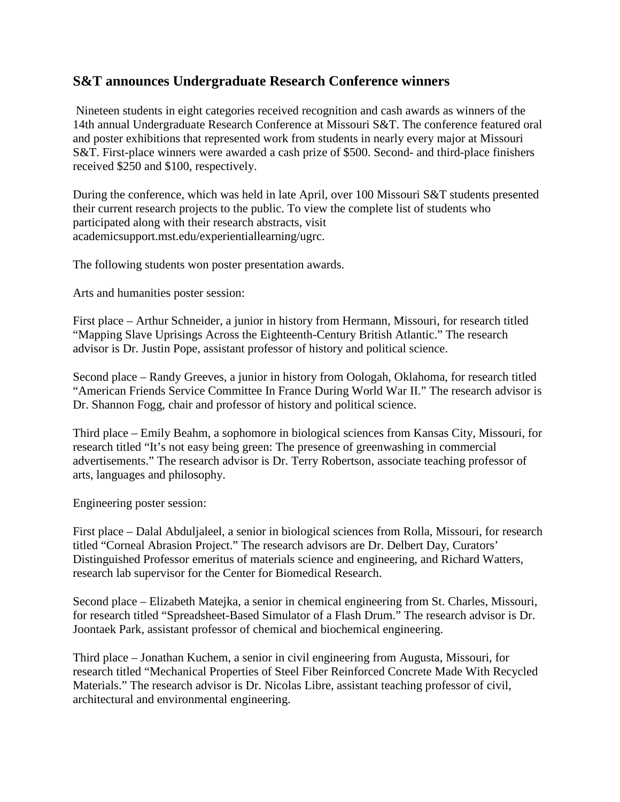## **S&T announces Undergraduate Research Conference winners**

Nineteen students in eight categories received recognition and cash awards as winners of the 14th annual Undergraduate Research Conference at Missouri S&T. The conference featured oral and poster exhibitions that represented work from students in nearly every major at Missouri S&T. First-place winners were awarded a cash prize of \$500. Second- and third-place finishers received \$250 and \$100, respectively.

During the conference, which was held in late April, over 100 Missouri S&T students presented their current research projects to the public. To view the complete list of students who participated along with their research abstracts, visit academicsupport.mst.edu/experientiallearning/ugrc.

The following students won poster presentation awards.

Arts and humanities poster session:

First place – Arthur Schneider, a junior in history from Hermann, Missouri, for research titled "Mapping Slave Uprisings Across the Eighteenth-Century British Atlantic." The research advisor is Dr. Justin Pope, assistant professor of history and political science.

Second place – Randy Greeves, a junior in history from Oologah, Oklahoma, for research titled "American Friends Service Committee In France During World War II." The research advisor is Dr. Shannon Fogg, chair and professor of history and political science.

Third place – Emily Beahm, a sophomore in biological sciences from Kansas City, Missouri, for research titled "It's not easy being green: The presence of greenwashing in commercial advertisements." The research advisor is Dr. Terry Robertson, associate teaching professor of arts, languages and philosophy.

Engineering poster session:

First place – Dalal Abduljaleel, a senior in biological sciences from Rolla, Missouri, for research titled "Corneal Abrasion Project." The research advisors are Dr. Delbert Day, Curators' Distinguished Professor emeritus of materials science and engineering, and Richard Watters, research lab supervisor for the Center for Biomedical Research.

Second place – Elizabeth Matejka, a senior in chemical engineering from St. Charles, Missouri, for research titled "Spreadsheet-Based Simulator of a Flash Drum." The research advisor is Dr. Joontaek Park, assistant professor of chemical and biochemical engineering.

Third place – Jonathan Kuchem, a senior in civil engineering from Augusta, Missouri, for research titled "Mechanical Properties of Steel Fiber Reinforced Concrete Made With Recycled Materials." The research advisor is Dr. Nicolas Libre, assistant teaching professor of civil, architectural and environmental engineering.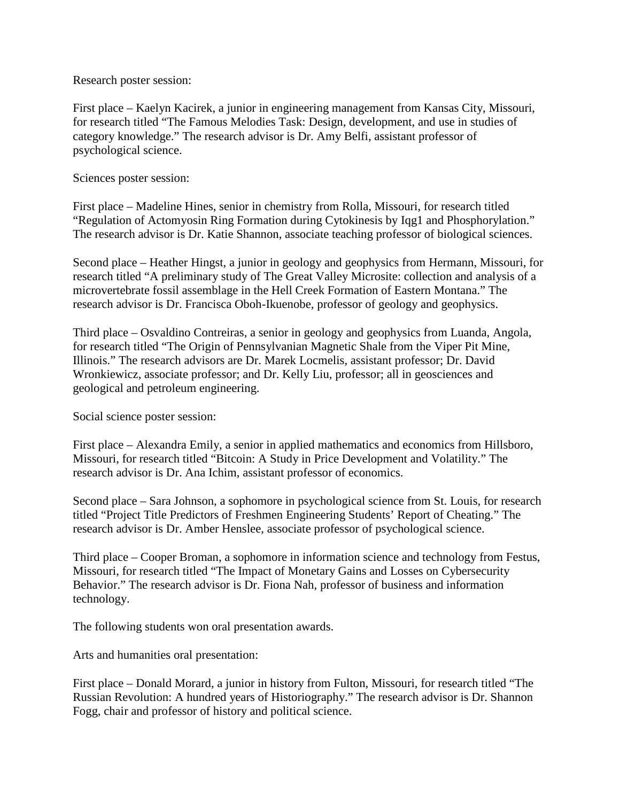Research poster session:

First place – Kaelyn Kacirek, a junior in engineering management from Kansas City, Missouri, for research titled "The Famous Melodies Task: Design, development, and use in studies of category knowledge." The research advisor is Dr. Amy Belfi, assistant professor of psychological science.

Sciences poster session:

First place – Madeline Hines, senior in chemistry from Rolla, Missouri, for research titled "Regulation of Actomyosin Ring Formation during Cytokinesis by Iqg1 and Phosphorylation." The research advisor is Dr. Katie Shannon, associate teaching professor of biological sciences.

Second place – Heather Hingst, a junior in geology and geophysics from Hermann, Missouri, for research titled "A preliminary study of The Great Valley Microsite: collection and analysis of a microvertebrate fossil assemblage in the Hell Creek Formation of Eastern Montana." The research advisor is Dr. Francisca Oboh-Ikuenobe, professor of geology and geophysics.

Third place – Osvaldino Contreiras, a senior in geology and geophysics from Luanda, Angola, for research titled "The Origin of Pennsylvanian Magnetic Shale from the Viper Pit Mine, Illinois." The research advisors are Dr. Marek Locmelis, assistant professor; Dr. David Wronkiewicz, associate professor; and Dr. Kelly Liu, professor; all in geosciences and geological and petroleum engineering.

Social science poster session:

First place – Alexandra Emily, a senior in applied mathematics and economics from Hillsboro, Missouri, for research titled "Bitcoin: A Study in Price Development and Volatility." The research advisor is Dr. Ana Ichim, assistant professor of economics.

Second place – Sara Johnson, a sophomore in psychological science from St. Louis, for research titled "Project Title Predictors of Freshmen Engineering Students' Report of Cheating." The research advisor is Dr. Amber Henslee, associate professor of psychological science.

Third place – Cooper Broman, a sophomore in information science and technology from Festus, Missouri, for research titled "The Impact of Monetary Gains and Losses on Cybersecurity Behavior." The research advisor is Dr. Fiona Nah, professor of business and information technology.

The following students won oral presentation awards.

Arts and humanities oral presentation:

First place – Donald Morard, a junior in history from Fulton, Missouri, for research titled "The Russian Revolution: A hundred years of Historiography." The research advisor is Dr. Shannon Fogg, chair and professor of history and political science.